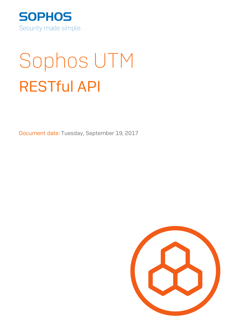

# Sophos UTM RESTful API

Document date: Tuesday, September 19, 2017

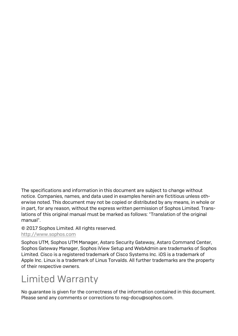The specifications and information in this document are subject to change without notice. Companies, names, and data used in examples herein are fictitious unless oth erwise noted. This document may not be copied or distributed by any means, in whole or in part, for any reason, without the express written permission of Sophos Limited. Trans lations of this original manual must be marked as follows: "Translation of the original manual".

#### © 2017 Sophos Limited. All rights reserved.

#### [http://www.sophos.com](http://www.sophos.com/)

Sophos UTM, Sophos UTM Manager, Astaro Security Gateway, Astaro Command Center, Sophos Gateway Manager, Sophos iView Setup and WebAdmin are trademarks of Sophos Limited. Cisco is a registered trademark of Cisco Systems Inc. iOS is a trademark of Apple Inc. Linux is a trademark of Linus Torvalds. All further trademarks are the property of their respective owners.

#### Limited Warranty

No guarantee is given for the correctness of the information contained in this document. Please send any comments or corrections to nsg-docu@sophos.com.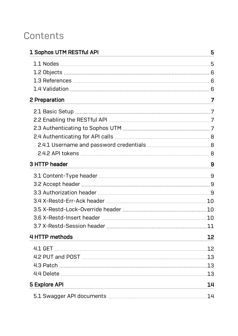#### **Contents**

| 1 Sophos UTM RESTful API |     |
|--------------------------|-----|
|                          |     |
|                          |     |
|                          |     |
|                          |     |
| 2 Preparation            | 7   |
|                          |     |
|                          |     |
|                          |     |
|                          |     |
|                          |     |
|                          |     |
| 3 HTTP header            | 9   |
|                          |     |
|                          |     |
|                          |     |
|                          |     |
|                          |     |
|                          |     |
|                          |     |
| 4 HTTP methods           | 12  |
|                          | .12 |
|                          | .13 |
|                          |     |
|                          | .13 |
| 5 Explore API            | 14  |
|                          | 14  |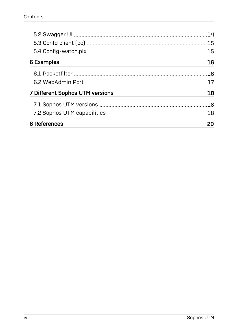|                                 | 14  |  |
|---------------------------------|-----|--|
|                                 | 15  |  |
|                                 | .15 |  |
| 6 Examples                      | 16  |  |
|                                 | 16  |  |
|                                 | 17  |  |
| 7 Different Sophos UTM versions | 18  |  |
|                                 | 18  |  |
|                                 | 18  |  |
| 8 References                    | 20  |  |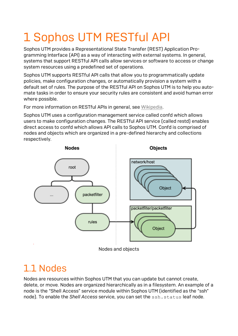# <span id="page-4-0"></span>1 Sophos UTM RESTful API

Sophos UTM provides a Representational State Transfer (REST) Application Pro gramming Interface (API) as a way of interacting with external systems. In general, systems that support RESTful API calls allow services or software to access or change system resources using a predefined set of operations.

Sophos UTM supports RESTful API calls that allow you to programmatically update policies, make configuration changes, or automatically provision a system with a default set of rules. The purpose of the RESTful API on Sophos UTM is to help you auto mate tasks in order to ensure your security rules are consistent and avoid human error where possible.

For more information on RESTful APIs in general, see [Wikipedia](https://en.wikipedia.org/wiki/Representational_state_transfer).

Sophos UTM uses a configuration management service called confd which allows users to make configuration changes. The RESTful API service (called restd) enables direct access to confd which allows API calls to Sophos UTM. Confd is comprised of nodes and objects which are organized in a pre-defined hierarchy and collections respectively.



#### <span id="page-4-1"></span>1.1 Nodes

Nodes are resources within Sophos UTM that you can update but cannot create, delete, or move. Nodes are organized hierarchically as in a filesystem. An example of a node is the "Shell Access" service module within Sophos UTM (identified as the "ssh" node). To enable the *Shell Access* service, you can set the ssh.status leaf node.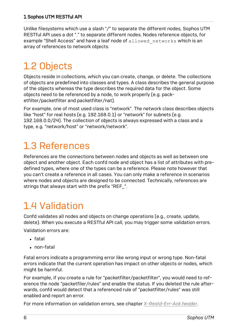Unlike filesystems which use a slash "/" to separate the different nodes, Sophos UTM RESTful API uses a dot "." to separate different nodes. Nodes reference objects, for example "Shell Access" and have a leaf node of allowed networks which is an array of references to network objects.

### <span id="page-5-0"></span>1.2 Objects

Objects reside in collections, which you can create, change, or delete. The collections of objects are predefined into classes and types. A class describes the general purpose of the objects whereas the type describes the required data for the object. Some objects need to be referenced by a node, to work properly (e.g. pack etfilter/packetfilter and packetfilter/nat).

For example, one of most used class is "network". The network class describes objects like "host" for real hosts (e.g. 192.168.0.1) or "network" for subnets (e.g. 192.168.0.0/24). The collection of objects is always expressed with a class and a type, e.g. "network/host" or "network/network".

#### <span id="page-5-1"></span>1.3 References

References are the connections between nodes and objects as well as between one object and another object. Each confd node and object has a list of attributes with pre defined types, where one of the types can be a reference. Please note however that you can't create a reference in all cases. You can only make a reference in scenarios where nodes and objects are designed to be connected. Technically, references are strings that always start with the prefix "REF\_".

#### <span id="page-5-2"></span>1.4 Validation

Confd validates all nodes and objects on change operations (e.g., create, update, delete). When you execute a RESTful API call, you may trigger some validation errors.

Validation errors are:

- . fatal
- $\cdot$  non-fatal

Fatal errors indicate a programming error like wrong input or wrong type. Non-fatal errors indicate that the current operation has impact on other objects or nodes, which might be harmful.

For example, if you create a rule for "packetfilter/packetfilter", you would need to ref erence the node "packetfiler/rules" and enable the status. If you deleted the rule after wards, confd would detect that a referenced rule of "packetfilter/rules" was still enabled and report an error.

For more information on validation errors, see chapter *[X-Restd-Err-Ack](#page-9-0) header*.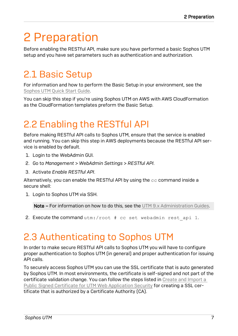# <span id="page-6-0"></span>2 Preparation

Before enabling the RESTful API, make sure you have performed a basic Sophos UTM setup and you have set parameters such as authentication and authorization.

#### <span id="page-6-1"></span>2.1 Basic Setup

For information and how to perform the Basic Setup in your environment, see the [Sophos](https://www.sophos.com/en-us/medialibrary/PDFs/documentation/sophosutmsoftwarewebadminqsgen.pdf?la=en) UTM Quick Start Guide.

You can skip this step if you're using Sophos UTM on AWS with AWS CloudFormation as the CloudFormation templates preform the Basic Setup.

#### <span id="page-6-2"></span>2.2 Enabling the RESTful API

Before making RESTful API calls to Sophos UTM, ensure that the service is enabled and running. You can skip this step in AWS deployments because the RESTful API ser vice is enabled by default.

- 1. Login to the WebAdmin GUI.
- 2. Go to *Management > WebAdmin Settings > RESTful API*.
- 3. Activate *Enable RESTful API*.

Alternatively, you can enable the RESTful API by using the  $cc$  command inside a secure shell:

1. Login to Sophos UTM via SSH.

Note – For information on how to do this, see the UTM 9.x [Administration](https://www.sophos.com/en-us/support/documentation/sophos-utm.aspx?platform=Software-UTM-9#Software-UTM-9) Guides.

2. Execute the command  $utm$ :/root  $#$  cc set webadmin rest api 1.

#### <span id="page-6-3"></span>2.3 Authenticating to Sophos UTM

In order to make secure RESTful API calls to Sophos UTM you will have to configure proper authentication to Sophos UTM (in general) and proper authentication for issuing API calls.

To securely access Sophos UTM you can use the SSL certificate that is auto generated by Sophos UTM. In most environments, the certificate is self-signed and not part of the certificate validation change. You can follow the steps listed in Create and [Import](https://community.sophos.com/kb/en-us/118084) a Public Signed Certificate for UTM Web [Application](https://community.sophos.com/kb/en-us/118084) Security for creating a SSL certificate that is authorized by a Certificate Authority (CA).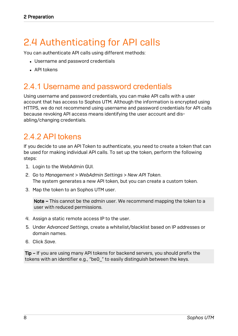#### <span id="page-7-0"></span>2.4 Authenticating for API calls

You can authenticate API calls using different methods:

- Username and password credentials
- $\triangle$  API tokens

#### <span id="page-7-1"></span>2.4.1 Username and password credentials

Using username and password credentials, you can make API calls with a user account that has access to Sophos UTM. Although the information is encrypted using HTTPS, we do not recommend using username and password credentials for API calls because revoking API access means identifying the user account and dis abling/changing credentials.

#### <span id="page-7-2"></span>2.4.2 API tokens

If you decide to use an API Token to authenticate, you need to create a token that can be used for making individual API calls. To set up the token, perform the following steps:

- 1. Login to the WebAdmin GUI.
- 2. Go to *Management > WebAdmin Settings > New API Token*. The system generates a new API token, but you can create a custom token.
- 3. Map the token to an Sophos UTM user.

Note – This cannot be the *admin* user. We recommend mapping the token to a user with reduced permissions.

- 4. Assign a static remote access IP to the user.
- 5. Under *Advanced Settings*, create a whitelist/blacklist based on IP addresses or domain names.
- 6. Click *Save*.

Tip – If you are using many API tokens for backend servers, you should prefix the tokens with an identifier e.g., "be0\_" to easily distinguish between the keys.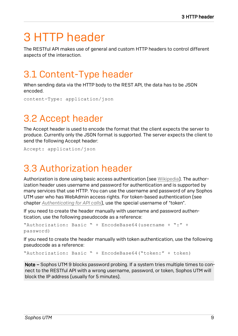# <span id="page-8-0"></span>3 HTTP header

The RESTful API makes use of general and custom HTTP headers to control different aspects of the interaction.

#### <span id="page-8-1"></span>3.1 Content-Type header

When sending data via the HTTP body to the REST API, the data has to be JSON encoded.

content-Type: application/json

#### <span id="page-8-2"></span>3.2 Accept header

The Accept header is used to encode the format that the client expects the server to produce. Currently only the JSON format is supported. The server expects the client to send the following Accept header:

<span id="page-8-3"></span>Accept: application/json

#### 3.3 Authorization header

Authorization is done using basic access authentication (see [Wikipedia\)](https://en.wikipedia.org/wiki/Basic_access_authentication). The author ization header uses username and password for authentication and is supported by many services that use HTTP. You can use the username and password of any Sophos UTM user who has WebAdmin access rights. For token-based authentication (see chapter *[Authenticating](#page-7-0) for API calls*), use the special username of "token".

If you need to create the header manually with username and password authen tication, use the following pseudocode as a reference:

```
"Authorization: Basic " + EncodeBase64(username + ":" +
password)
```
If you need to create the header manually with token authentication, use the following pseudocode as a reference:

"Authorization: Basic " + EncodeBase64("token:" + token)

Note – Sophos UTM 9 blocks password probing. If a system tries multiple times to connect to the RESTful API with a wrong username, password, or token, Sophos UTM will block the IP address (usually for 5 minutes).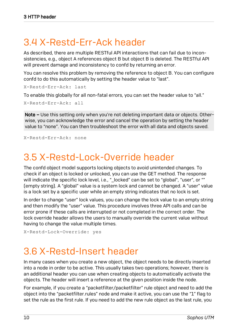#### <span id="page-9-0"></span>3.4 X-Restd-Err-Ack header

As described, there are multiple RESTful API interactions that can fail due to incon sistencies, e.g., object A references object B but object B is deleted. The RESTful API will prevent damage and inconsistency to confd by returning an error.

You can resolve this problem by removing the reference to object B. You can configure confd to do this automatically by setting the header value to "last".

X-Restd-Err-Ack: last

To enable this globally for all non-fatal errors, you can set the header value to "all."

```
X-Restd-Err-Ack: all
```
Note – Use this setting only when you're not deleting important data or objects. Otherwise, you can acknowledge the error and cancel the operation by setting the header value to "none". You can then troubleshoot the error with all data and objects saved.

<span id="page-9-1"></span>X-Restd-Err-Ack: none

#### 3.5 X-Restd-Lock-Override header

The confd object model supports locking objects to avoid unintended changes. To check if an object is locked or unlocked, you can use the GET method. The response will indicate the specific lock level, i.e., "\_locked" can be set to "global", "user", or "" (empty string). A "global" value is a system lock and cannot be changed. A "user" value is a lock set by a specific user while an empty string indicates that no lock is set.

In order to change "user" lock values, you can change the lock value to an empty string and then modify the "user" value. This procedure involves three API calls and can be error prone if these calls are interrupted or not completed in the correct order. The lock override header allows the users to manually override the current value without having to change the value multiple times.

```
X-Restd-Lock-Override: yes
```
#### 3.6 X-Restd-Insert header

In many cases when you create a new object, the object needs to be directly inserted into a node in order to be active. This usually takes two operations; however, there is an additional header you can use when creating objects to automatically activate the objects. The header will insert a reference at the given position inside the node.

For example, if you create a "packetfilter/packetfilter" rule object and need to add the object into the "packetfilter.rules" node and make it active, you can use the "1" flag to set the rule as the first rule. If you need to add the new rule object as the last rule, you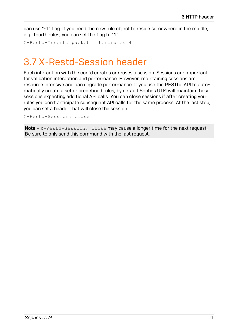can use "-1" flag. If you need the new rule object to reside somewhere in the middle, e.g., fourth rules, you can set the flag to "4".

X-Restd-Insert: packetfilter.rules 4

#### <span id="page-10-0"></span>3.7 X-Restd-Session header

Each interaction with the confd creates or reuses a session. Sessions are important for validation interaction and performance. However, maintaining sessions are resource intensive and can degrade performance. If you use the RESTful API to auto matically create a set or predefined rules, by default Sophos UTM will maintain those sessions expecting additional API calls. You can close sessions if after creating your rules you don't anticipate subsequent API calls for the same process. At the last step, you can set a header that will close the session.

X-Restd-Session: close

Note - X-Restd-Session: close may cause a longer time for the next request. Be sure to only send this command with the last request.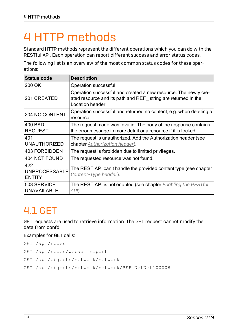# <span id="page-11-0"></span>4 HTTP methods

Standard HTTP methods represent the different operations which you can do with the RESTful API. Each operation can report different success and error status codes.

The following list is an overview of the most common status codes for these oper ations:

| <b>Status code</b>                           | <b>Description</b>                                                                                                                                  |
|----------------------------------------------|-----------------------------------------------------------------------------------------------------------------------------------------------------|
| 200 OK                                       | Operation successful                                                                                                                                |
| 201 CREATED                                  | Operation successful and created a new resource. The newly cre-<br>ated resource and its path and REF string are returned in the<br>Location header |
| 204 NO CONTENT                               | Operation successful and returned no content, e.g. when deleting a<br>resource.                                                                     |
| 400 BAD<br><b>REQUEST</b>                    | The request made was invalid. The body of the response contains<br>the error message in more detail or a resource if it is locked.                  |
| 401<br><b>UNAUTHORIZED</b>                   | The request is unauthorized. Add the Authorization header (see<br>chapter Authorization header).                                                    |
| <b>403 FORBIDDEN</b>                         | The request is forbidden due to limited privileges.                                                                                                 |
| 404 NOT FOUND                                | The requested resource was not found.                                                                                                               |
| 422<br><b>UNPROCESSABLE</b><br><b>ENTITY</b> | The REST API can't handle the provided content type (see chapter<br>Content-Type header).                                                           |
| 503 SERVICE<br><b>UNAVAILABLE</b>            | The REST API is not enabled (see chapter Enabling the RESTful<br>API).                                                                              |

#### <span id="page-11-1"></span>4.1 GET

GET requests are used to retrieve information. The GET request cannot modify the data from confd.

Examples for GET calls:

- GET /api/nodes
- GET /api/nodes/webadmin.port
- GET /api/objects/network/network
- GET /api/objects/network/network/REF\_NetNet100008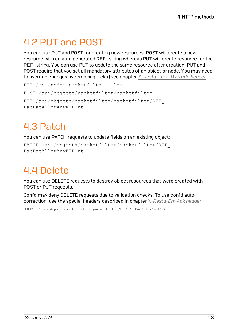#### <span id="page-12-0"></span>4.2 PUT and POST

You can use PUT and POST for creating new resources. POST will create a new resource with an auto generated REF\_ string whereas PUT will create resource for the REF\_ string. You can use PUT to update the same resource after creation. PUT and POST require that you set all mandatory attributes of an object or node. You may need to override changes by removing locks (see chapter *[X-Restd-Lock-Override](#page-9-1) header*).

PUT /api/nodes/packetfilter.rules POST /api/objects/packetfilter/packetfilter PUT /api/objects/packetfilter/packetfilter/REF\_ PacPacAllowAnyFTPOut

### <span id="page-12-1"></span>4.3 Patch

You can use PATCH requests to update fields on an existing object:

```
PATCH /api/objects/packetfilter/packetfilter/REF_
PacPacAllowAnyFTPOut
```
#### <span id="page-12-2"></span>4.4 Delete

You can use DELETE requests to destroy object resources that were created with POST or PUT requests.

Confd may deny DELETE requests due to validation checks. To use confd auto correction, use the special headers described in chapter *[X-Restd-Err-Ack](#page-9-0) header*.

DELETE /api/objects/packetfilter/packetfilter/REF\_PacPacAllowAnyFTPOut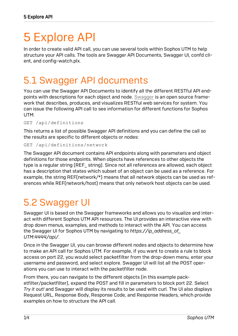# <span id="page-13-0"></span>5 Explore API

In order to create valid API call, you can use several tools within Sophos UTM to help structure your API calls. The tools are Swagger API Documents, Swagger UI, confd cli ent, and config-watch.plx.

#### <span id="page-13-1"></span>5.1 Swagger API documents

You can use the Swagger API Documents to identify all the different RESTful API end points with descriptions for each object and node. [Swagger](https://swagger.io/) is an open source frame work that describes, produces, and visualizes RESTful web services for system. You can issue the following API call to see information for different functions for Sophos UTM:

GET /api/definitions

This returns a list of possible Swagger API definitions and you can define the call so the results are specific to different objects or nodes:

```
GET /api/definitions/network
```
The Swagger API document contains API endpoints along with parameters and object definitions for those endpoints. When objects have references to other objects the type is a regular string (REF\_ string). Since not all references are allowed, each object has a description that states which subset of an object can be used as a reference. For example, the string REF(network/\*) means that all network objects can be used as ref erences while REF(network/host) means that only network host objects can be used.

#### <span id="page-13-2"></span>5.2 Swagger UI

Swagger UI is based on the Swagger frameworks and allows you to visualize and interact with different Sophos UTM API resources. The UI provides an interactive view with drop down menus, examples, and methods to interact with the API. You can access the Swagger UI for Sophos UTM by navigating to *https://ip\_address\_of\_ UTM:4444/api/*.

Once in the Swagger UI, you can browse different nodes and objects to determine how to make an API call for Sophos UTM. For example, if you want to create a rule to block access on port 22, you would select packetfilter from the drop-down menu, enter your username and password, and select explore. Swagger UI will list all the POST oper ations you can use to interact with the packetfilter node.

From there, you can navigate to the different objects (in this example pack etfilter/packetfilter), expand the POST and fill in parameters to block port 22. Select *Try it out!* and Swagger will display its results to be used with curl. The UI also displays Request URL, Response Body, Response Code, and Response Headers, which provide examples on how to structure the API call.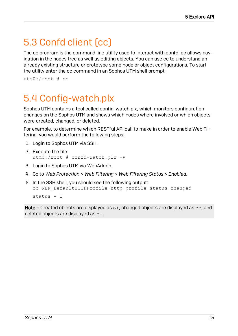#### <span id="page-14-0"></span>5.3 Confd client (cc)

The cc program is the command line utility used to interact with confd. cc allows nav igation in the nodes tree as well as editing objects. You can use cc to understand an already existing structure or prototype some node or object configurations. To start the utility enter the cc command in an Sophos UTM shell prompt:

```
utm0:/root # cc
```
### 5.4 Config-watch.plx

Sophos UTM contains a tool called config-watch.plx, which monitors configuration changes on the Sophos UTM and shows which nodes where involved or which objects were created, changed, or deleted.

For example, to determine which RESTful API call to make in order to enable Web Fil tering, you would perform the following steps:

- 1. Login to Sophos UTM via SSH.
- 2. Execute the file: utm0:/root # confd-watch.plx -v
- 3. Login to Sophos UTM via WebAdmin.
- 4. Go to *Web Protection > Web Filtering > Web Filtering Status > Enabled*.
- 5. In the SSH shell, you should see the following output: oc REF DefaultHTTPProfile http profile status changed  $status = 1$

Note – Created objects are displayed as  $\circ +$ , changed objects are displayed as  $\circ \circ$ , and deleted objects are displayed as o-.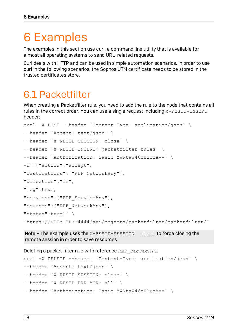# <span id="page-15-0"></span>6 Examples

The examples in this section use curl, a command line utility that is available for almost all operating systems to send URL-related requests.

Curl deals with HTTP and can be used in simple automation scenarios. In order to use curl in the following scenarios, the Sophos UTM certificate needs to be stored in the trusted certificates store.

#### <span id="page-15-1"></span>6.1 Packetfilter

When creating a Packetfilter rule, you need to add the rule to the node that contains all rules in the correct order. You can use a single request including X-RESTD-INSERT header:

```
curl -X POST --header 'Content-Type: application/json' \
--header 'Accept: text/json' \
--header 'X-RESTD-SESSION: close' \
--header 'X-RESTD-INSERT: packetfilter.rules' \
--header 'Authorization: Basic YWRtaW46cHBwcA==' \
-d '{"action":"accept",
"destinations":["REF_NetworkAny"],
"direction":"in",
"log":true,
"services":["REF_ServiceAny"],
"sources":["REF_NetworkAny"],
"status":true}' \
'https://<UTM IP>:4444/api/objects/packetfilter/packetfilter/'
```
Note – The example uses the X-RESTD-SESSION: close to force closing the remote session in order to save resources.

Deleting a packet filter rule with reference REF\_PacPacXYZ.

```
curl -X DELETE --header 'Content-Type: application/json' \
--header 'Accept: text/json' \
--header 'X-RESTD-SESSION: close' \
--header 'X-RESTD-ERR-ACK: all' \
--header 'Authorization: Basic YWRtaW46cHBwcA==' \
```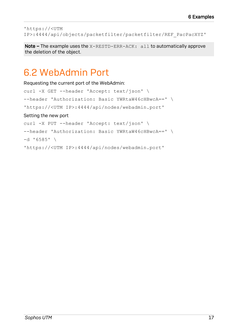'https://<UTM IP>:4444/api/objects/packetfilter/packetfilter/REF\_PacPacXYZ'

Note - The example uses the X-RESTD-ERR-ACK: all to automatically approve the deletion of the object.

#### <span id="page-16-0"></span>6.2 WebAdmin Port

Requesting the current port of the WebAdmin: curl -X GET --header 'Accept: text/json' \ --header 'Authorization: Basic YWRtaW46cHBwcA==' \ 'https://<UTM IP>:4444/api/nodes/webadmin.port' Setting the new port curl -X PUT --header 'Accept: text/json' \ --header 'Authorization: Basic YWRtaW46cHBwcA==' \  $-d$  '6585' \ 'https://<UTM IP>:4444/api/nodes/webadmin.port'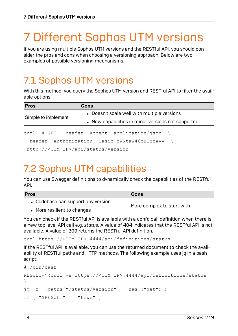# <span id="page-17-0"></span>7 Different Sophos UTM versions

If you are using multiple Sophos UTM versions and the RESTful API, you should con sider the pros and cons when choosing a versioning approach. Below are two examples of possible versioning mechanisms.

#### <span id="page-17-1"></span>7.1 Sophos UTM versions

With this method, you query the Sophos UTM version and RESTful API to filter the avail able options.

| <b>Pros</b>         | <b>Cons</b>                                        |
|---------------------|----------------------------------------------------|
| Simple to implement | • Doesn't scale well with multiple versions        |
|                     | • New capabilities in minor versions not supported |

curl -X GET --header 'Accept: application/json' \

```
--header 'Authorization: Basic YWRtaW46cHBwcA==' \
```

```
'http://<UTM IP>/api/status/version'
```
#### <span id="page-17-2"></span>7.2 Sophos UTM capabilities

You can use Swagger definitions to dynamically check the capabilities of the RESTful API.

| <b>Pros</b>                        | ∣Cons                      |  |
|------------------------------------|----------------------------|--|
| • Codebase can support any version | More complex to start with |  |
| • More resilient to changes        |                            |  |

You can check if the RESTful API is available with a confd call definition when there is a new top level API call e.g. *status*. A value of 404 indicates that the RESTful API is not available. A value of 200 returns the RESTful API definition.

curl https://<UTM IP>:4444/api/definitions/status

If the RESTful API is available, you can use the returned document to check the avail ability of RESTful paths and HTTP methods. The following example uses jq in a bash script:

```
#!/bin/bash
RESULT=$(curl -s https://<UTM IP>:4444/api/definitions/status |
\setminusjq -r '.paths["/status/version"] | has ("get")')
if \lceil "$RESULT" == "true" ]
```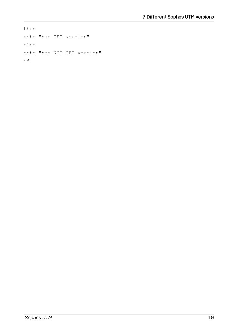then echo "has GET version" else echo "has NOT GET version" if